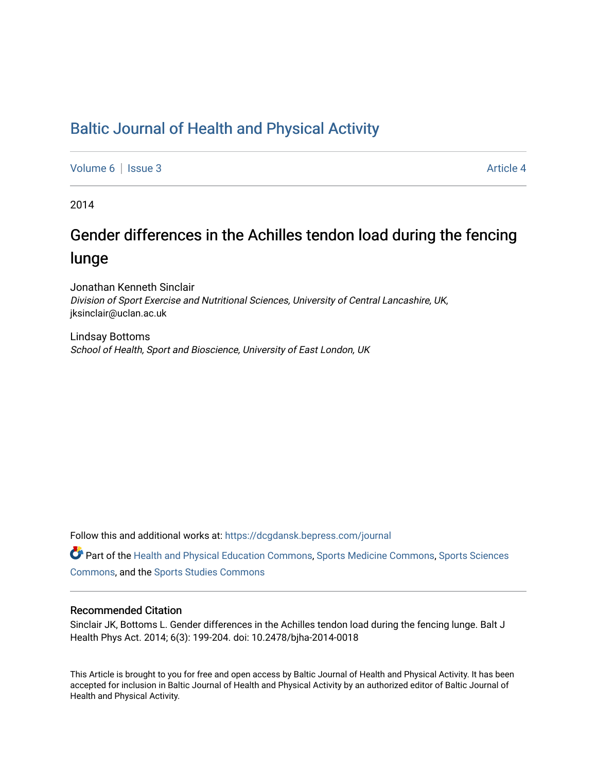## [Baltic Journal of Health and Physical Activity](https://dcgdansk.bepress.com/journal)

[Volume 6](https://dcgdansk.bepress.com/journal/vol6) | [Issue 3](https://dcgdansk.bepress.com/journal/vol6/iss3) Article 4

2014

# Gender differences in the Achilles tendon load during the fencing lunge

Jonathan Kenneth Sinclair Division of Sport Exercise and Nutritional Sciences, University of Central Lancashire, UK, jksinclair@uclan.ac.uk

Lindsay Bottoms School of Health, Sport and Bioscience, University of East London, UK

Follow this and additional works at: [https://dcgdansk.bepress.com/journal](https://dcgdansk.bepress.com/journal?utm_source=dcgdansk.bepress.com%2Fjournal%2Fvol6%2Fiss3%2F4&utm_medium=PDF&utm_campaign=PDFCoverPages)

Part of the [Health and Physical Education Commons](http://network.bepress.com/hgg/discipline/1327?utm_source=dcgdansk.bepress.com%2Fjournal%2Fvol6%2Fiss3%2F4&utm_medium=PDF&utm_campaign=PDFCoverPages), [Sports Medicine Commons,](http://network.bepress.com/hgg/discipline/1331?utm_source=dcgdansk.bepress.com%2Fjournal%2Fvol6%2Fiss3%2F4&utm_medium=PDF&utm_campaign=PDFCoverPages) [Sports Sciences](http://network.bepress.com/hgg/discipline/759?utm_source=dcgdansk.bepress.com%2Fjournal%2Fvol6%2Fiss3%2F4&utm_medium=PDF&utm_campaign=PDFCoverPages) [Commons](http://network.bepress.com/hgg/discipline/759?utm_source=dcgdansk.bepress.com%2Fjournal%2Fvol6%2Fiss3%2F4&utm_medium=PDF&utm_campaign=PDFCoverPages), and the [Sports Studies Commons](http://network.bepress.com/hgg/discipline/1198?utm_source=dcgdansk.bepress.com%2Fjournal%2Fvol6%2Fiss3%2F4&utm_medium=PDF&utm_campaign=PDFCoverPages) 

#### Recommended Citation

Sinclair JK, Bottoms L. Gender differences in the Achilles tendon load during the fencing lunge. Balt J Health Phys Act. 2014; 6(3): 199-204. doi: 10.2478/bjha-2014-0018

This Article is brought to you for free and open access by Baltic Journal of Health and Physical Activity. It has been accepted for inclusion in Baltic Journal of Health and Physical Activity by an authorized editor of Baltic Journal of Health and Physical Activity.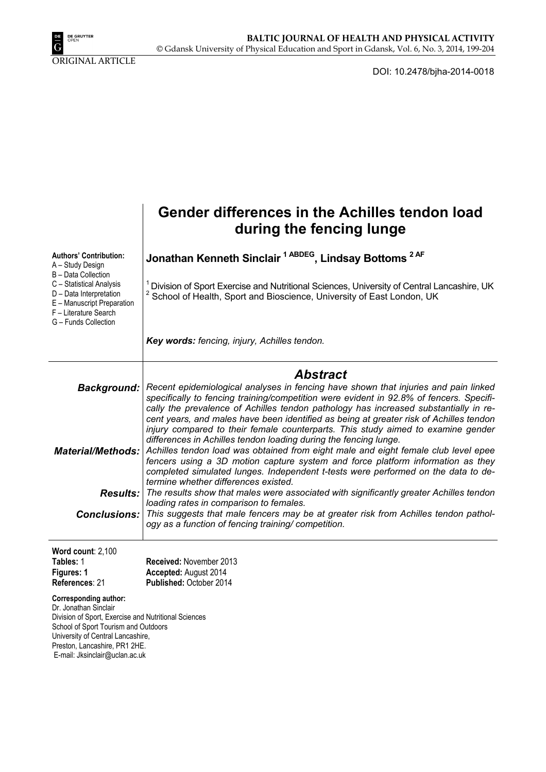

ORIGINAL ARTICLE

DOI: 10.2478/bjha-2014-0018

|                                                                                                                                                                                                                                                               | Gender differences in the Achilles tendon load<br>during the fencing lunge                                                                                                                                                                                                                                                                                                                                                                           |  |  |  |  |
|---------------------------------------------------------------------------------------------------------------------------------------------------------------------------------------------------------------------------------------------------------------|------------------------------------------------------------------------------------------------------------------------------------------------------------------------------------------------------------------------------------------------------------------------------------------------------------------------------------------------------------------------------------------------------------------------------------------------------|--|--|--|--|
| <b>Authors' Contribution:</b><br>A - Study Design<br>B - Data Collection<br>C - Statistical Analysis<br>D - Data Interpretation<br>E - Manuscript Preparation<br>F - Literature Search<br>G - Funds Collection                                                | Jonathan Kenneth Sinclair <sup>1 ABDEG</sup> , Lindsay Bottoms <sup>2AF</sup>                                                                                                                                                                                                                                                                                                                                                                        |  |  |  |  |
|                                                                                                                                                                                                                                                               | Division of Sport Exercise and Nutritional Sciences, University of Central Lancashire, UK<br>School of Health, Sport and Bioscience, University of East London, UK                                                                                                                                                                                                                                                                                   |  |  |  |  |
|                                                                                                                                                                                                                                                               | Key words: fencing, injury, Achilles tendon.                                                                                                                                                                                                                                                                                                                                                                                                         |  |  |  |  |
|                                                                                                                                                                                                                                                               | <b>Abstract</b>                                                                                                                                                                                                                                                                                                                                                                                                                                      |  |  |  |  |
| Background:                                                                                                                                                                                                                                                   | Recent epidemiological analyses in fencing have shown that injuries and pain linked<br>specifically to fencing training/competition were evident in 92.8% of fencers. Specifi-<br>cally the prevalence of Achilles tendon pathology has increased substantially in re-<br>cent years, and males have been identified as being at greater risk of Achilles tendon<br>injury compared to their female counterparts. This study aimed to examine gender |  |  |  |  |
| Material/Methods:                                                                                                                                                                                                                                             | differences in Achilles tendon loading during the fencing lunge.<br>Achilles tendon load was obtained from eight male and eight female club level epee<br>fencers using a 3D motion capture system and force platform information as they<br>completed simulated lunges. Independent t-tests were performed on the data to de-                                                                                                                       |  |  |  |  |
| <b>Results:</b>                                                                                                                                                                                                                                               | termine whether differences existed.<br>The results show that males were associated with significantly greater Achilles tendon                                                                                                                                                                                                                                                                                                                       |  |  |  |  |
| Conclusions:                                                                                                                                                                                                                                                  | loading rates in comparison to females.<br>This suggests that male fencers may be at greater risk from Achilles tendon pathol-<br>ogy as a function of fencing training/competition.                                                                                                                                                                                                                                                                 |  |  |  |  |
| Word count: 2,100                                                                                                                                                                                                                                             |                                                                                                                                                                                                                                                                                                                                                                                                                                                      |  |  |  |  |
| Tables: 1<br>Figures: 1                                                                                                                                                                                                                                       | Received: November 2013<br>Accepted: August 2014                                                                                                                                                                                                                                                                                                                                                                                                     |  |  |  |  |
| References: 21                                                                                                                                                                                                                                                | Published: October 2014                                                                                                                                                                                                                                                                                                                                                                                                                              |  |  |  |  |
| <b>Corresponding author:</b><br>Dr. Jonathan Sinclair<br>Division of Sport, Exercise and Nutritional Sciences<br>School of Sport Tourism and Outdoors<br>University of Central Lancashire,<br>Preston, Lancashire, PR1 2HE.<br>E-mail: Jksinclair@uclan.ac.uk |                                                                                                                                                                                                                                                                                                                                                                                                                                                      |  |  |  |  |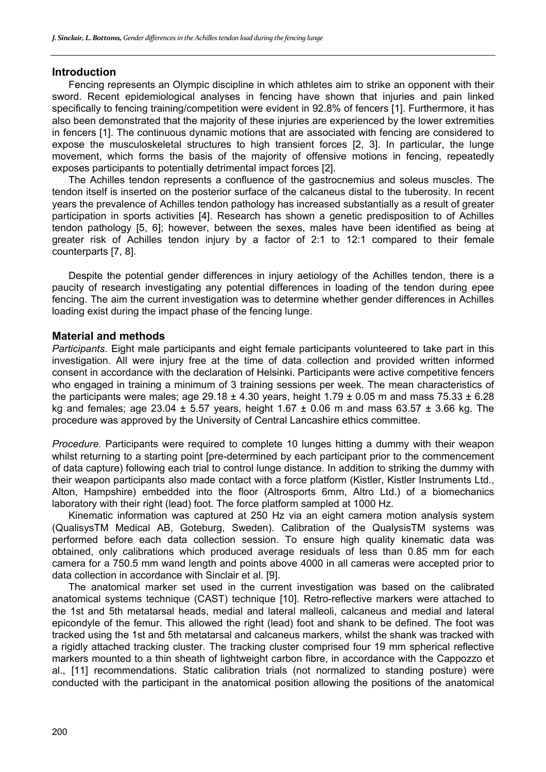#### **Introduction**

Fencing represents an Olympic discipline in which athletes aim to strike an opponent with their sword. Recent epidemiological analyses in fencing have shown that injuries and pain linked specifically to fencing training/competition were evident in 92.8% of fencers [1]. Furthermore, it has also been demonstrated that the majority of these injuries are experienced by the lower extremities in fencers [1]. The continuous dynamic motions that are associated with fencing are considered to expose the musculoskeletal structures to high transient forces [2, 3]. In particular, the lunge movement, which forms the basis of the majority of offensive motions in fencing, repeatedly exposes participants to potentially detrimental impact forces [2].

The Achilles tendon represents a confluence of the gastrocnemius and soleus muscles. The tendon itself is inserted on the posterior surface of the calcaneus distal to the tuberosity. In recent years the prevalence of Achilles tendon pathology has increased substantially as a result of greater participation in sports activities [4]. Research has shown a genetic predisposition to of Achilles tendon pathology [5, 6]; however, between the sexes, males have been identified as being at greater risk of Achilles tendon injury by a factor of 2:1 to 12:1 compared to their female counterparts [7, 8].

Despite the potential gender differences in injury aetiology of the Achilles tendon, there is a paucity of research investigating any potential differences in loading of the tendon during epee fencing. The aim the current investigation was to determine whether gender differences in Achilles loading exist during the impact phase of the fencing lunge.

### **Material and methods**

*Participants.* Eight male participants and eight female participants volunteered to take part in this investigation. All were injury free at the time of data collection and provided written informed consent in accordance with the declaration of Helsinki. Participants were active competitive fencers who engaged in training a minimum of 3 training sessions per week. The mean characteristics of the participants were males; age 29.18  $\pm$  4.30 years, height 1.79  $\pm$  0.05 m and mass 75.33  $\pm$  6.28 kg and females; age 23.04  $\pm$  5.57 years, height 1.67  $\pm$  0.06 m and mass 63.57  $\pm$  3.66 kg. The procedure was approved by the University of Central Lancashire ethics committee.

*Procedure.* Participants were required to complete 10 lunges hitting a dummy with their weapon whilst returning to a starting point [pre-determined by each participant prior to the commencement of data capture) following each trial to control lunge distance. In addition to striking the dummy with their weapon participants also made contact with a force platform (Kistler, Kistler Instruments Ltd., Alton, Hampshire) embedded into the floor (Altrosports 6mm, Altro Ltd.) of a biomechanics laboratory with their right (lead) foot. The force platform sampled at 1000 Hz.

Kinematic information was captured at 250 Hz via an eight camera motion analysis system (QualisysTM Medical AB, Goteburg, Sweden). Calibration of the QualysisTM systems was performed before each data collection session. To ensure high quality kinematic data was obtained, only calibrations which produced average residuals of less than 0.85 mm for each camera for a 750.5 mm wand length and points above 4000 in all cameras were accepted prior to data collection in accordance with Sinclair et al. [9].

The anatomical marker set used in the current investigation was based on the calibrated anatomical systems technique (CAST) technique [10]. Retro-reflective markers were attached to the 1st and 5th metatarsal heads, medial and lateral malleoli, calcaneus and medial and lateral epicondyle of the femur. This allowed the right (lead) foot and shank to be defined. The foot was tracked using the 1st and 5th metatarsal and calcaneus markers, whilst the shank was tracked with a rigidly attached tracking cluster. The tracking cluster comprised four 19 mm spherical reflective markers mounted to a thin sheath of lightweight carbon fibre, in accordance with the Cappozzo et al., [11] recommendations. Static calibration trials (not normalized to standing posture) were conducted with the participant in the anatomical position allowing the positions of the anatomical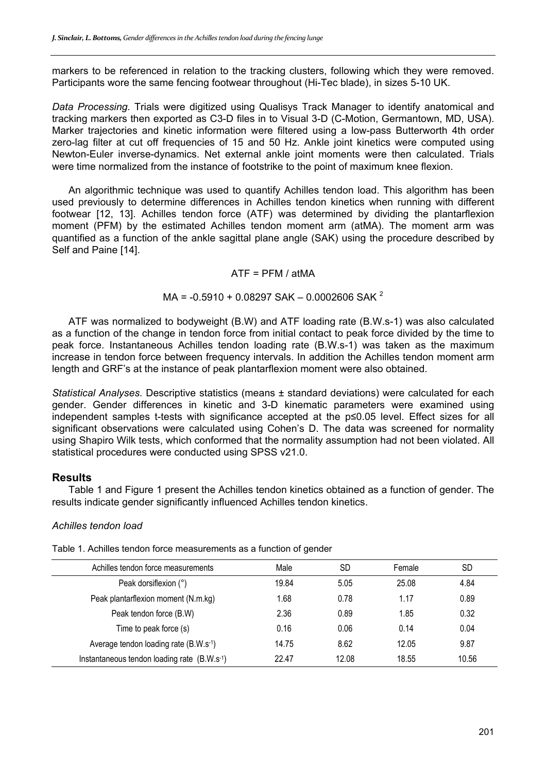markers to be referenced in relation to the tracking clusters, following which they were removed. Participants wore the same fencing footwear throughout (Hi-Tec blade), in sizes 5-10 UK.

*Data Processing.* Trials were digitized using Qualisys Track Manager to identify anatomical and tracking markers then exported as C3-D files in to Visual 3-D (C-Motion, Germantown, MD, USA). Marker trajectories and kinetic information were filtered using a low-pass Butterworth 4th order zero-lag filter at cut off frequencies of 15 and 50 Hz. Ankle joint kinetics were computed using Newton-Euler inverse-dynamics. Net external ankle joint moments were then calculated. Trials were time normalized from the instance of footstrike to the point of maximum knee flexion.

An algorithmic technique was used to quantify Achilles tendon load. This algorithm has been used previously to determine differences in Achilles tendon kinetics when running with different footwear [12, 13]. Achilles tendon force (ATF) was determined by dividing the plantarflexion moment (PFM) by the estimated Achilles tendon moment arm (atMA). The moment arm was quantified as a function of the ankle sagittal plane angle (SAK) using the procedure described by Self and Paine [14].

#### $ATF = PFM / atMA$

## $MA = -0.5910 + 0.08297 SAK - 0.0002606 SAK<sup>2</sup>$

ATF was normalized to bodyweight (B.W) and ATF loading rate (B.W.s-1) was also calculated as a function of the change in tendon force from initial contact to peak force divided by the time to peak force. Instantaneous Achilles tendon loading rate (B.W.s-1) was taken as the maximum increase in tendon force between frequency intervals. In addition the Achilles tendon moment arm length and GRF's at the instance of peak plantarflexion moment were also obtained.

*Statistical Analyses.* Descriptive statistics (means ± standard deviations) were calculated for each gender. Gender differences in kinetic and 3-D kinematic parameters were examined using independent samples t-tests with significance accepted at the p≤0.05 level. Effect sizes for all significant observations were calculated using Cohen's D. The data was screened for normality using Shapiro Wilk tests, which conformed that the normality assumption had not been violated. All statistical procedures were conducted using SPSS v21.0.

### **Results**

Table 1 and Figure 1 present the Achilles tendon kinetics obtained as a function of gender. The results indicate gender significantly influenced Achilles tendon kinetics.

#### *Achilles tendon load*

| Achilles tendon force measurements                       | Male  | SD    | Female | <b>SD</b> |
|----------------------------------------------------------|-------|-------|--------|-----------|
| Peak dorsiflexion (°)                                    | 19.84 | 5.05  | 25.08  | 4.84      |
| Peak plantarflexion moment (N.m.kg)                      | 1.68  | 0.78  | 1.17   | 0.89      |
| Peak tendon force (B.W)                                  | 2.36  | 0.89  | 1.85   | 0.32      |
| Time to peak force (s)                                   | 0.16  | 0.06  | 0.14   | 0.04      |
| Average tendon loading rate (B.W.s <sup>-1</sup> )       | 14.75 | 8.62  | 12.05  | 9.87      |
| Instantaneous tendon loading rate (B.W.s <sup>-1</sup> ) | 22.47 | 12.08 | 18.55  | 10.56     |

Table 1. Achilles tendon force measurements as a function of gender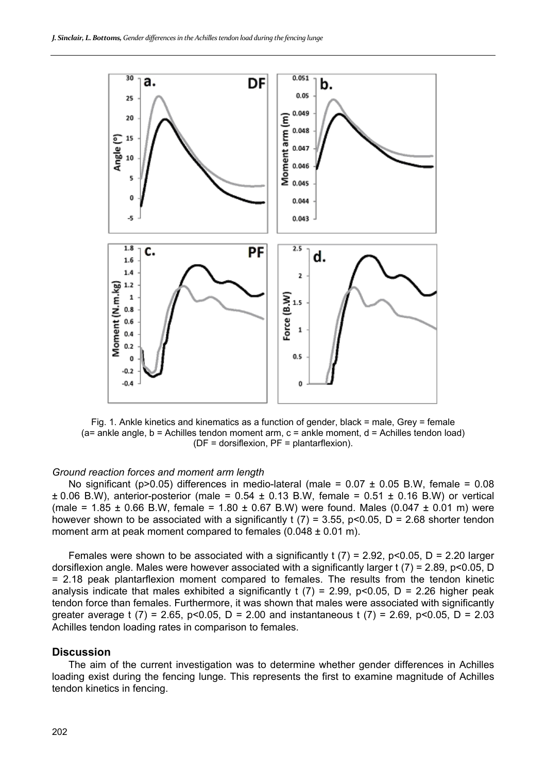

Fig. 1. Ankle kinetics and kinematics as a function of gender, black = male, Grey = female  $(a=$  ankle angle,  $b =$  Achilles tendon moment arm,  $c =$  ankle moment,  $d =$  Achilles tendon load) (DF = dorsiflexion, PF = plantarflexion).

#### *Ground reaction forces and moment arm length*

No significant (p>0.05) differences in medio-lateral (male =  $0.07 \pm 0.05$  B.W, female = 0.08  $\pm$  0.06 B.W), anterior-posterior (male = 0.54  $\pm$  0.13 B.W, female = 0.51  $\pm$  0.16 B.W) or vertical (male =  $1.85 \pm 0.66$  B.W, female =  $1.80 \pm 0.67$  B.W) were found. Males (0.047  $\pm$  0.01 m) were however shown to be associated with a significantly t (7) = 3.55, p<0.05, D = 2.68 shorter tendon moment arm at peak moment compared to females (0.048 ± 0.01 m).

Females were shown to be associated with a significantly t (7) = 2.92, p<0.05, D = 2.20 larger dorsiflexion angle. Males were however associated with a significantly larger t (7) = 2.89, p<0.05, D = 2.18 peak plantarflexion moment compared to females. The results from the tendon kinetic analysis indicate that males exhibited a significantly t  $(7)$  = 2.99, p<0.05, D = 2.26 higher peak tendon force than females. Furthermore, it was shown that males were associated with significantly greater average t (7) = 2.65, p < 0.05, D = 2.00 and instantaneous t (7) = 2.69, p < 0.05, D = 2.03 Achilles tendon loading rates in comparison to females.

#### **Discussion**

The aim of the current investigation was to determine whether gender differences in Achilles loading exist during the fencing lunge. This represents the first to examine magnitude of Achilles tendon kinetics in fencing.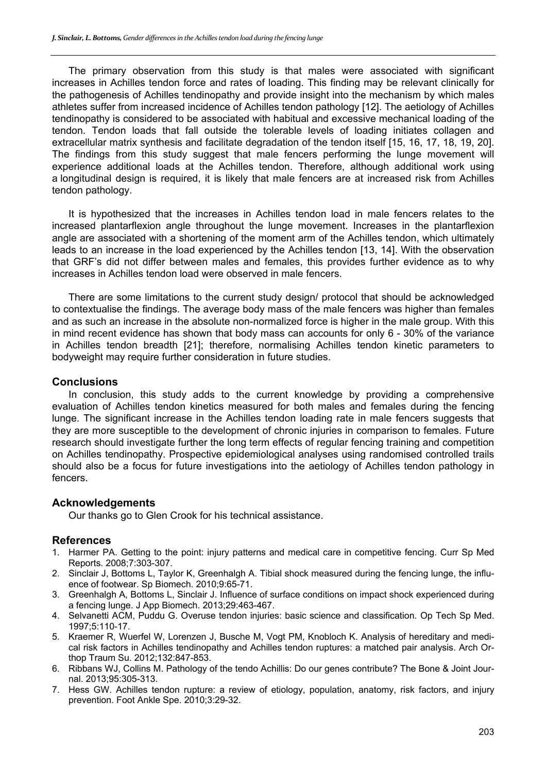The primary observation from this study is that males were associated with significant increases in Achilles tendon force and rates of loading. This finding may be relevant clinically for the pathogenesis of Achilles tendinopathy and provide insight into the mechanism by which males athletes suffer from increased incidence of Achilles tendon pathology [12]. The aetiology of Achilles tendinopathy is considered to be associated with habitual and excessive mechanical loading of the tendon. Tendon loads that fall outside the tolerable levels of loading initiates collagen and extracellular matrix synthesis and facilitate degradation of the tendon itself [15, 16, 17, 18, 19, 20]. The findings from this study suggest that male fencers performing the lunge movement will experience additional loads at the Achilles tendon. Therefore, although additional work using a longitudinal design is required, it is likely that male fencers are at increased risk from Achilles tendon pathology.

It is hypothesized that the increases in Achilles tendon load in male fencers relates to the increased plantarflexion angle throughout the lunge movement. Increases in the plantarflexion angle are associated with a shortening of the moment arm of the Achilles tendon, which ultimately leads to an increase in the load experienced by the Achilles tendon [13, 14]. With the observation that GRF's did not differ between males and females, this provides further evidence as to why increases in Achilles tendon load were observed in male fencers.

There are some limitations to the current study design/ protocol that should be acknowledged to contextualise the findings. The average body mass of the male fencers was higher than females and as such an increase in the absolute non-normalized force is higher in the male group. With this in mind recent evidence has shown that body mass can accounts for only 6 - 30% of the variance in Achilles tendon breadth [21]; therefore, normalising Achilles tendon kinetic parameters to bodyweight may require further consideration in future studies.

## **Conclusions**

In conclusion, this study adds to the current knowledge by providing a comprehensive evaluation of Achilles tendon kinetics measured for both males and females during the fencing lunge. The significant increase in the Achilles tendon loading rate in male fencers suggests that they are more susceptible to the development of chronic injuries in comparison to females. Future research should investigate further the long term effects of regular fencing training and competition on Achilles tendinopathy. Prospective epidemiological analyses using randomised controlled trails should also be a focus for future investigations into the aetiology of Achilles tendon pathology in fencers.

### **Acknowledgements**

Our thanks go to Glen Crook for his technical assistance.

## **References**

- 1. Harmer PA. Getting to the point: injury patterns and medical care in competitive fencing. Curr Sp Med Reports. 2008;7:303-307.
- 2. Sinclair J, Bottoms L, Taylor K, Greenhalgh A. Tibial shock measured during the fencing lunge, the influence of footwear. Sp Biomech. 2010;9:65-71.
- 3. Greenhalgh A, Bottoms L, Sinclair J. Influence of surface conditions on impact shock experienced during a fencing lunge. J App Biomech. 2013;29:463-467.
- 4. Selvanetti ACM, Puddu G. Overuse tendon injuries: basic science and classification. Op Tech Sp Med. 1997;5:110-17.
- 5. Kraemer R, Wuerfel W, Lorenzen J, Busche M, Vogt PM, Knobloch K. Analysis of hereditary and medical risk factors in Achilles tendinopathy and Achilles tendon ruptures: a matched pair analysis. Arch Orthop Traum Su. 2012;132:847-853.
- 6. Ribbans WJ, Collins M. Pathology of the tendo Achillis: Do our genes contribute? The Bone & Joint Journal. 2013;95:305-313.
- 7. Hess GW. Achilles tendon rupture: a review of etiology, population, anatomy, risk factors, and injury prevention. Foot Ankle Spe. 2010;3:29-32.